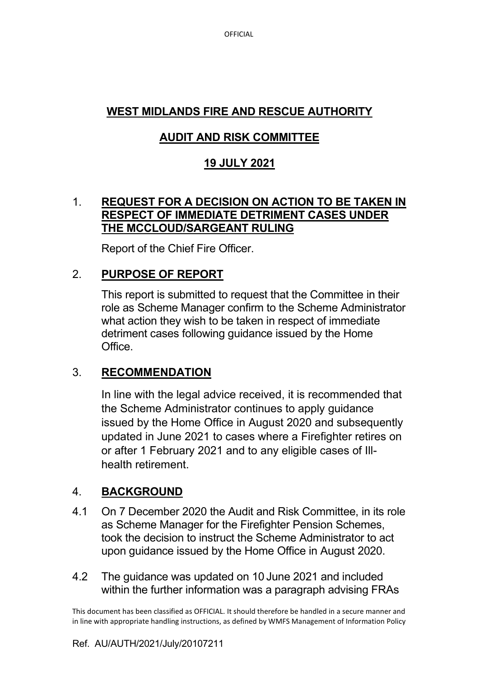OFFICIAL

# **WEST MIDLANDS FIRE AND RESCUE AUTHORITY**

# **AUDIT AND RISK COMMITTEE**

## **19 JULY 2021**

### 1. **REQUEST FOR A DECISION ON ACTION TO BE TAKEN IN RESPECT OF IMMEDIATE DETRIMENT CASES UNDER THE MCCLOUD/SARGEANT RULING**

Report of the Chief Fire Officer.

## 2. **PURPOSE OF REPORT**

 This report is submitted to request that the Committee in their role as Scheme Manager confirm to the Scheme Administrator what action they wish to be taken in respect of immediate detriment cases following guidance issued by the Home Office.

## 3. **RECOMMENDATION**

In line with the legal advice received, it is recommended that the Scheme Administrator continues to apply guidance issued by the Home Office in August 2020 and subsequently updated in June 2021 to cases where a Firefighter retires on or after 1 February 2021 and to any eligible cases of Illhealth retirement.

## 4. **BACKGROUND**

- 4.1 On 7 December 2020 the Audit and Risk Committee, in its role as Scheme Manager for the Firefighter Pension Schemes, took the decision to instruct the Scheme Administrator to act upon guidance issued by the Home Office in August 2020.
- 4.2 The guidance was updated on 10 June 2021 and included within the further information was a paragraph advising FRAs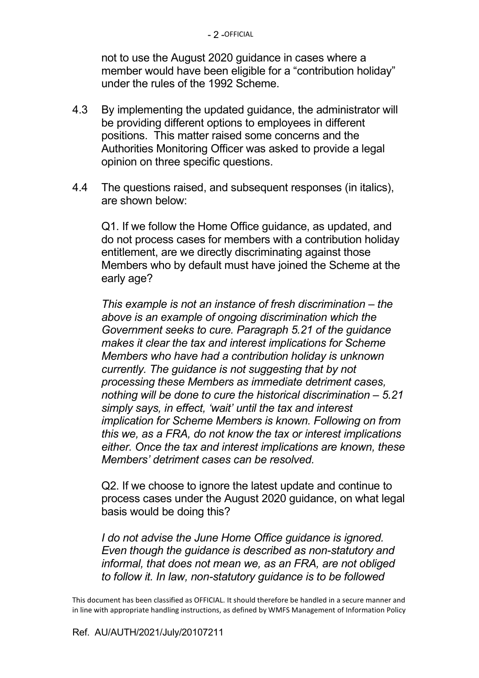not to use the August 2020 guidance in cases where a member would have been eligible for a "contribution holiday" under the rules of the 1992 Scheme.

- 4.3 By implementing the updated guidance, the administrator will be providing different options to employees in different positions. This matter raised some concerns and the Authorities Monitoring Officer was asked to provide a legal opinion on three specific questions.
- 4.4 The questions raised, and subsequent responses (in italics), are shown below:

 Q1. If we follow the Home Office guidance, as updated, and do not process cases for members with a contribution holiday entitlement, are we directly discriminating against those Members who by default must have joined the Scheme at the early age?

*This example is not an instance of fresh discrimination – the above is an example of ongoing discrimination which the Government seeks to cure. Paragraph 5.21 of the guidance makes it clear the tax and interest implications for Scheme Members who have had a contribution holiday is unknown currently. The guidance is not suggesting that by not processing these Members as immediate detriment cases, nothing will be done to cure the historical discrimination – 5.21 simply says, in effect, 'wait' until the tax and interest implication for Scheme Members is known. Following on from this we, as a FRA, do not know the tax or interest implications either. Once the tax and interest implications are known, these Members' detriment cases can be resolved.* 

 Q2. If we choose to ignore the latest update and continue to process cases under the August 2020 guidance, on what legal basis would be doing this?

*I do not advise the June Home Office guidance is ignored. Even though the guidance is described as non-statutory and informal, that does not mean we, as an FRA, are not obliged to follow it. In law, non-statutory guidance is to be followed*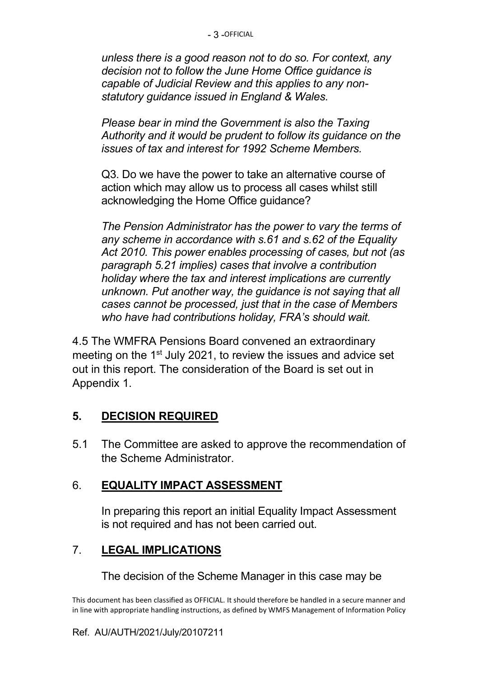*unless there is a good reason not to do so. For context, any decision not to follow the June Home Office guidance is capable of Judicial Review and this applies to any nonstatutory guidance issued in England & Wales.* 

 *Please bear in mind the Government is also the Taxing Authority and it would be prudent to follow its guidance on the issues of tax and interest for 1992 Scheme Members.*

 Q3. Do we have the power to take an alternative course of action which may allow us to process all cases whilst still acknowledging the Home Office guidance?

*The Pension Administrator has the power to vary the terms of any scheme in accordance with s.61 and s.62 of the Equality Act 2010. This power enables processing of cases, but not (as paragraph 5.21 implies) cases that involve a contribution holiday where the tax and interest implications are currently unknown. Put another way, the guidance is not saying that all cases cannot be processed, just that in the case of Members who have had contributions holiday, FRA's should wait.*

4.5 The WMFRA Pensions Board convened an extraordinary meeting on the 1<sup>st</sup> July 2021, to review the issues and advice set out in this report. The consideration of the Board is set out in Appendix 1.

### **5. DECISION REQUIRED**

5.1 The Committee are asked to approve the recommendation of the Scheme Administrator.

### 6. **EQUALITY IMPACT ASSESSMENT**

 In preparing this report an initial Equality Impact Assessment is not required and has not been carried out.

# 7. **LEGAL IMPLICATIONS**

The decision of the Scheme Manager in this case may be